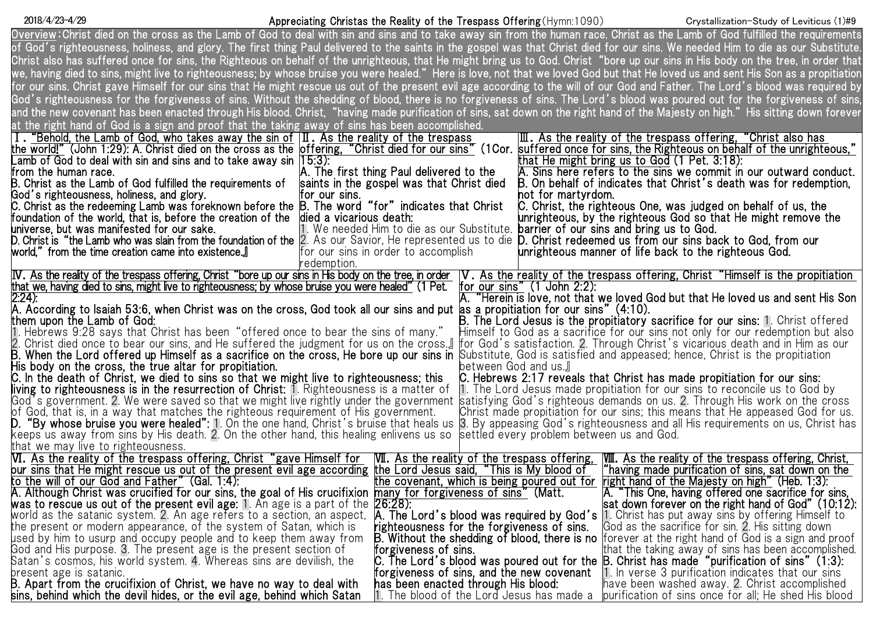## Appreciating Christas the Reality of the Trespass Offering(Hymn:1090) 2018/4/23-4/29 Crystallization-Study of Leviticus (1)#9

| <u>Overview</u> :Christ died on the cross as the Lamb of God to deal with sin and sins and to take away sin from the human race. Christ as the Lamb of God fulfilled the requirements                                                                              |
|--------------------------------------------------------------------------------------------------------------------------------------------------------------------------------------------------------------------------------------------------------------------|
| of God's righteousness, holiness, and glory. The first thing Paul delivered to the saints in the gospel was that Christ died for our sins. We needed Him to die as our Substitute.                                                                                 |
| Christ also has suffered once for sins, the Righteous on behalf of the unrighteous, that He might bring us to God. Christ "bore up our sins in His body on the tree, in order that                                                                                 |
| we, having died to sins, might live to righteousness; by whose bruise you were healed."Here is love, not that we loved God but that He loved us and sent His Son as a propitiation                                                                                 |
|                                                                                                                                                                                                                                                                    |
| for our sins. Christ gave Himself for our sins that He might rescue us out of the present evil age according to the will of our God and Father. The Lord's blood was required by                                                                                   |
| God's righteousness for the forgiveness of sins. Without the shedding of blood, there is no forgiveness of sins. The Lord's blood was poured out for the forgiveness of sins,                                                                                      |
| and the new covenant has been enacted through His blood. Christ, "having made purification of sins, sat down on the right hand of the Majesty on high."His sitting down forever                                                                                    |
| at the right hand of God is a sign and proof that the taking away of sins has been accomplished.                                                                                                                                                                   |
| I. "Behold, the Lamb of God, who takes away the sin of $ II $ . As the reality of the trespass<br> Ⅲ.As the reality of the trespass offering,"Christ also has                                                                                                      |
| the world!" (John 1:29): A. Christ died on the cross as the  offering, "Christ died for our sins" (1Cor.<br>suffered once for sins, the Righteous on behalf of the unrighteous,"                                                                                   |
| that He might bring us to God $(1$ Pet. $3:18)$ :<br>Lamb of God to deal with sin and sins and to take away sin $ 15:3\rangle$ :                                                                                                                                   |
| from the human race.<br>A. The first thing Paul delivered to the<br>A. Sins here refers to the sins we commit in our outward conduct.                                                                                                                              |
| B. Christ as the Lamb of God fulfilled the requirements of<br>B. On behalf of indicates that Christ's death was for redemption,<br>saints in the gospel was that Christ died                                                                                       |
| God's righteousness, holiness, and glory.<br>hot for martyrdom.<br>for our sins.                                                                                                                                                                                   |
| C. Christ as the redeeming Lamb was foreknown before the $\mathsf B.$ The word "for" indicates that Christ<br>C. Christ, the righteous One, was judged on behalf of us, the                                                                                        |
| foundation of the world, that is, before the creation of the<br>died a vicarious death:<br>unrighteous, by the righteous God so that He might remove the                                                                                                           |
| 11. We needed Him to die as our Substitute. <b>barrier of our sins and bring us to God.</b><br>universe, but was manifested for our sake.                                                                                                                          |
| <b>D.</b> Christ is"the Lamb who was slain from the foundation of the 2. As our Savior, He represented us to die <b>D.</b> Christ redeemed us from our sins back to God, from our                                                                                  |
| unrighteous manner of life back to the righteous God.<br>world," from the time creation came into existence.』<br>for our sins in order to accomplish                                                                                                               |
| redemption.                                                                                                                                                                                                                                                        |
| IV. As the reality of the trespass offering, Christ "bore up our sins in His body on the tree, in order<br>V. As the reality of the trespass offering, Christ "Himself is the propitiation                                                                         |
| that we, having died to sins, might live to righteousness; by whose bruise you were healed" (1 Pet.<br>for our sins" $(1$ John 2:2):                                                                                                                               |
| A. "Herein is love, not that we loved God but that He loved us and sent His Son                                                                                                                                                                                    |
| 2.24).<br>A. According to Isaiah 53:6, when Christ was on the cross, God took all our sins and put as a propitiation for our sins" (4:10).<br>B. The Lord Jesus is the propitiatory sacrifice for our sins: 1. Christ offered<br>The Lo                            |
|                                                                                                                                                                                                                                                                    |
| 1. Hebrews 9:28 says that Christ has been "offered once to bear the sins of many."<br>Himself to God as a sacrifice for our sins not only for our redemption but also                                                                                              |
| 2. Christ died once to bear our sins, and He suffered the judgment for us on the cross.』<br>for God's satisfaction. 2. Through Christ's vicarious death and in Him as our                                                                                          |
| <b>B. When the Lord offered up Himself as a sacrifice on the cross. He bore up our sins in Substitute.</b> God is satisfied and appeased; hence, Christ is the propitiation                                                                                        |
| His body on the cross, the true altar for propitiation.<br>between God and us.』                                                                                                                                                                                    |
| C. Hebrews 2:17 reveals that Christ has made propitiation for our sins:                                                                                                                                                                                            |
| C. In the death of Christ, we died to sins so that we might live to righteousness; this<br>living to righteousness is in the resurrection of Christ: 1. Righteousness is a matter of<br>1. The Lord Jesus made propitiation for our sins to reconcile us to God by |
| God's government. 2. We were saved so that we might live rightly under the government [satisfying God's righteous demands on us. 2. Through His work on the cross                                                                                                  |
| of God, that is, in a way that matches the righteous requirement of His government.<br>Christ made propitiation for our sins; this means that He appeased God for us.                                                                                              |
| <b>D. "By whose bruise you were healed":</b> 1. On the one hand, Christ's bruise that heals us<br>3. By appeasing God's righteousness and all His requirements on us, Christ has                                                                                   |
| keeps us away from sins by His death. 2. On the other hand, this healing enlivens us so<br>settled every problem between us and God.                                                                                                                               |
| that we may live to righteousness.                                                                                                                                                                                                                                 |
|                                                                                                                                                                                                                                                                    |
| VI. As the reality of the trespass offering, Christ "gave Himself for<br><b>WI.</b> As the reality of the trespass offering,<br>WII. As the reality of the trespass offering, Christ,                                                                              |
| <u>pur sins that He might rescue us out of the present evil age according  the Lord Jesus said, "This is My blood of </u><br>"having made purification of sins, sat down on the                                                                                    |
| to the will of our God and Father" (Gal. 1:4):<br>the covenant, which is being poured out for<br>right hand of the Majesty on high" (Heb. 1:3):                                                                                                                    |
| A. Although Christ was crucified for our sins, the goal of His crucifixion many for forgiveness of sins" (Matt.<br>A. "This One, having offered one sacrifice for sins,                                                                                            |
| 26.28.<br>sat down forever on the right hand of God" (10:12):<br>was to rescue us out of the present evil age: 1. An age is a part of the                                                                                                                          |
| world as the satanic system. 2. An age refers to a section, an aspect, <b> A. The Lord's blood was required by God's  1</b> . Christ has put away sins by offering Himself to                                                                                      |
| God as the sacrifice for sin. 2. His sitting down<br>the present or modern appearance, of the system of Satan, which is<br>righteousness for the forgiveness of sins.                                                                                              |
| used by him to usurp and occupy people and to keep them away from<br><b>B.</b> Without the shedding of blood, there is no forever at the right hand of God is a sign and proof                                                                                     |
| God and His purpose. 3. The present age is the present section of<br>forgiveness of sins.<br>that the taking away of sins has been accomplished.                                                                                                                   |
| Satan's cosmos, his world system. 4. Whereas sins are devilish, the<br>C. The Lord's blood was poured out for the $B$ . Christ has made "purification of sins" (1:3):                                                                                              |
| 1. In verse 3 purification indicates that our sins<br>present age is satanic.<br>B. Apart from the crucifixion of Christ, we have no way to deal with<br>forgiveness of sins, and the new covenant                                                                 |
| have been washed away. 2. Christ accomplished<br>has been enacted through His blood:                                                                                                                                                                               |
| purification of sins once for all; He shed His blood<br>sins, behind which the devil hides, or the evil age, behind which Satan<br>1. The blood of the Lord Jesus has made a                                                                                       |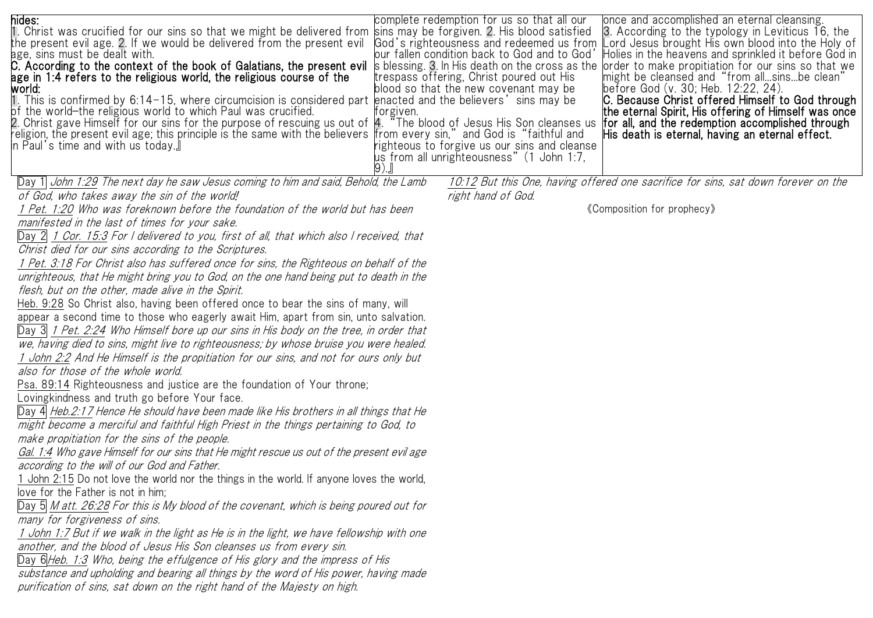| hides: | once and accomplished an eternal cleansing.<br>complete redemption for us so that all our<br>1. Christ was crucified for our sins so that we might be delivered from  sins may be forgiven. 2. His blood satisfied<br>3. According to the typology in Leviticus 16, the                                                                                |
|--------|--------------------------------------------------------------------------------------------------------------------------------------------------------------------------------------------------------------------------------------------------------------------------------------------------------------------------------------------------------|
|        | the present evil age. 2. If we would be delivered from the present evil 《God's righteousness and redeemed us from<br>Lord Jesus brought His own blood into the Holy of<br>age, sins must be dealt with.<br>our fallen condition back to God and to God'<br>Holies in the heavens and sprinkled it before God in                                        |
|        | C. According to the context of the book of Galatians, the present evil<br>s blessing. 3. In His death on the cross as the<br>order to make propitiation for our sins so that we                                                                                                                                                                        |
|        | age in 1:4 refers to the religious world, the religious course of the<br>trespass offering, Christ poured out His<br>might be cleansed and "from allsinsbe clean"                                                                                                                                                                                      |
| world: | before God (v. 30; Heb. 12:22, 24).<br>blood so that the new covenant may be<br>1. This is confirmed by 6:14-15, where circumcision is considered part  enacted and the believers'sins may be<br>C. Because Christ offered Himself to God through                                                                                                      |
|        | of the world—the religious world to which Paul was crucified.<br>the eternal Spirit, His offering of Himself was once<br>forgiven.                                                                                                                                                                                                                     |
|        | 2. Christ gave Himself for our sins for the purpose of rescuing us out of  4."The blood of Jesus His Son cleanses us<br>for all, and the redemption accomplished through<br>religion, the present evil age; this principle is the same with the believers  from every sin," and God is"faithful and<br>His death is eternal, having an eternal effect. |
|        | In Paul's time and with us today.』<br>righteous to forgive us our sins and cleanse                                                                                                                                                                                                                                                                     |
|        | us from all unrighteousness" (1 John 1:7,                                                                                                                                                                                                                                                                                                              |
|        |                                                                                                                                                                                                                                                                                                                                                        |
|        | Day 1 John 1:29 The next day he saw Jesus coming to him and said, Behold, the Lamb<br>10:12 But this One, having offered one sacrifice for sins, sat down forever on the<br>of God, who takes away the sin of the world!<br>right hand of God.                                                                                                         |
|        | 1 Pet. 1:20 Who was foreknown before the foundation of the world but has been<br>«Composition for prophecy»                                                                                                                                                                                                                                            |
|        | manifested in the last of times for your sake.                                                                                                                                                                                                                                                                                                         |
|        | Day 2 1 Cor. 15:3 For I delivered to you, first of all, that which also I received, that                                                                                                                                                                                                                                                               |
|        | Christ died for our sins according to the Scriptures.                                                                                                                                                                                                                                                                                                  |
|        | 1 Pet. 3:18 For Christ also has suffered once for sins, the Righteous on behalf of the                                                                                                                                                                                                                                                                 |
|        | unrighteous, that He might bring you to God, on the one hand being put to death in the                                                                                                                                                                                                                                                                 |
|        | flesh, but on the other, made alive in the Spirit.                                                                                                                                                                                                                                                                                                     |
|        | Heb. 9:28 So Christ also, having been offered once to bear the sins of many, will                                                                                                                                                                                                                                                                      |
|        | appear a second time to those who eagerly await Him, apart from sin, unto salvation.<br>Day 3  1 Pet. 2:24 Who Himself bore up our sins in His body on the tree, in order that                                                                                                                                                                         |
|        | we, having died to sins, might live to righteousness; by whose bruise you were healed.                                                                                                                                                                                                                                                                 |
|        | ' John 2:2 And He Himself is the propitiation for our sins, and not for ours only but                                                                                                                                                                                                                                                                  |
|        | also for those of the whole world.                                                                                                                                                                                                                                                                                                                     |
|        | Psa. 89:14 Righteousness and justice are the foundation of Your throne;                                                                                                                                                                                                                                                                                |
|        | Lovingkindness and truth go before Your face.                                                                                                                                                                                                                                                                                                          |
|        | Day 4 Heb.2:17 Hence He should have been made like His brothers in all things that He                                                                                                                                                                                                                                                                  |
|        | might become a merciful and faithful High Priest in the things pertaining to God, to                                                                                                                                                                                                                                                                   |
|        | make propitiation for the sins of the people.                                                                                                                                                                                                                                                                                                          |
|        | Gal. 1:4 Who gave Himself for our sins that He might rescue us out of the present evil age                                                                                                                                                                                                                                                             |
|        | according to the will of our God and Father.                                                                                                                                                                                                                                                                                                           |
|        | 1 John 2:15 Do not love the world nor the things in the world. If anyone loves the world,<br>love for the Father is not in him;                                                                                                                                                                                                                        |
|        | Day 5 M att. 26:28 For this is My blood of the covenant, which is being poured out for                                                                                                                                                                                                                                                                 |
|        | many for forgiveness of sins.                                                                                                                                                                                                                                                                                                                          |
|        | 1 John 1:7 But if we walk in the light as He is in the light, we have fellowship with one                                                                                                                                                                                                                                                              |
|        | another, and the blood of Jesus His Son cleanses us from every sin.                                                                                                                                                                                                                                                                                    |
|        | Day 6 Heb. 1:3 Who, being the effulgence of His glory and the impress of His                                                                                                                                                                                                                                                                           |
|        | substance and upholding and bearing all things by the word of His power, having made                                                                                                                                                                                                                                                                   |
|        | purification of sins, sat down on the right hand of the Majesty on high.                                                                                                                                                                                                                                                                               |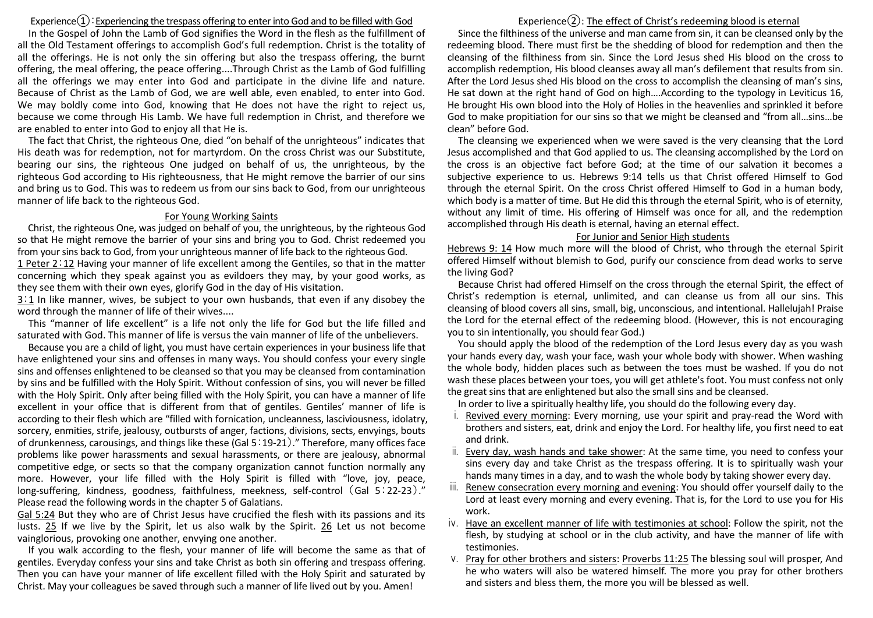## Experience $\Omega$ : Experiencing the trespass offering to enter into God and to be filled with God

In the Gospel of John the Lamb of God signifies the Word in the flesh as the fulfillment of all the Old Testament offerings to accomplish God's full redemption. Christ is the totality of all the offerings. He is not only the sin offering but also the trespass offering, the burnt offering, the meal offering, the peace offering....Through Christ as the Lamb of God fulfilling all the offerings we may enter into God and participate in the divine life and nature. Because of Christ as the Lamb of God, we are well able, even enabled, to enter into God. We may boldly come into God, knowing that He does not have the right to reject us, because we come through His Lamb. We have full redemption in Christ, and therefore we are enabled to enter into God to enjoy all that He is.

The fact that Christ, the righteous One, died "on behalf of the unrighteous" indicates that His death was for redemption, not for martyrdom. On the cross Christ was our Substitute, bearing our sins, the righteous One judged on behalf of us, the unrighteous, by the righteous God according to His righteousness, that He might remove the barrier of our sins and bring us to God. This was to redeem us from our sins back to God, from our unrighteous manner of life back to the righteous God.

#### For Young Working Saints

Christ, the righteous One, was judged on behalf of you, the unrighteous, by the righteous God so that He might remove the barrier of your sins and bring you to God. Christ redeemed you from your sins back to God, from your unrighteous manner of life back to the righteous God.

1 Peter 2:12 Having your manner of life excellent among the Gentiles, so that in the matter concerning which they speak against you as evildoers they may, by your good works, as they see them with their own eyes, glorify God in the day of His visitation.

3:1 In like manner, wives, be subject to your own husbands, that even if any disobey the word through the manner of life of their wives....

This "manner of life excellent" is a life not only the life for God but the life filled and saturated with God. This manner of life is versus the vain manner of life of the unbelievers.

Because you are a child of light, you must have certain experiences in your business life that have enlightened your sins and offenses in many ways. You should confess your every single sins and offenses enlightened to be cleansed so that you may be cleansed from contamination by sins and be fulfilled with the Holy Spirit. Without confession of sins, you will never be filled with the Holy Spirit. Only after being filled with the Holy Spirit, you can have a manner of life excellent in your office that is different from that of gentiles. Gentiles' manner of life is according to their flesh which are "filled with fornication, uncleanness, lasciviousness, idolatry, sorcery, enmities, strife, jealousy, outbursts of anger, factions, divisions, sects, envyings, bouts of drunkenness, carousings, and things like these (Gal 5:19-21)." Therefore, many offices face problems like power harassments and sexual harassments, or there are jealousy, abnormal competitive edge, or sects so that the company organization cannot function normally any more. However, your life filled with the Holy Spirit is filled with "love, joy, peace, long-suffering, kindness, goodness, faithfulness, meekness, self-control (Gal 5:22-23)." Please read the following words in the chapter 5 of Galatians.

Gal 5:24 But they who are of Christ Jesus have crucified the flesh with its passions and its lusts. 25 If we live by the Spirit, let us also walk by the Spirit. 26 Let us not become vainglorious, provoking one another, envying one another.

If you walk according to the flesh, your manner of life will become the same as that of gentiles. Everyday confess your sins and take Christ as both sin offering and trespass offering. Then you can have your manner of life excellent filled with the Holy Spirit and saturated by Christ. May your colleagues be saved through such a manner of life lived out by you. Amen!

# Experience $(2)$ : The effect of Christ's redeeming blood is eternal

Since the filthiness of the universe and man came from sin, it can be cleansed only by the redeeming blood. There must first be the shedding of blood for redemption and then the cleansing of the filthiness from sin. Since the Lord Jesus shed His blood on the cross to accomplish redemption, His blood cleanses away all man's defilement that results from sin. After the Lord Jesus shed His blood on the cross to accomplish the cleansing of man's sins, He sat down at the right hand of God on high….According to the typology in Leviticus 16, He brought His own blood into the Holy of Holies in the heavenlies and sprinkled it before God to make propitiation for our sins so that we might be cleansed and "from all…sins…be clean" before God.

The cleansing we experienced when we were saved is the very cleansing that the Lord Jesus accomplished and that God applied to us. The cleansing accomplished by the Lord on the cross is an objective fact before God; at the time of our salvation it becomes a subjective experience to us. Hebrews 9:14 tells us that Christ offered Himself to God through the eternal Spirit. On the cross Christ offered Himself to God in a human body, which body is a matter of time. But He did this through the eternal Spirit, who is of eternity, without any limit of time. His offering of Himself was once for all, and the redemption accomplished through His death is eternal, having an eternal effect.

#### For Junior and Senior High students

Hebrews 9: 14 How much more will the blood of Christ, who through the eternal Spirit offered Himself without blemish to God, purify our conscience from dead works to serve the living God?

Because Christ had offered Himself on the cross through the eternal Spirit, the effect of Christ's redemption is eternal, unlimited, and can cleanse us from all our sins. This cleansing of blood covers all sins, small, big, unconscious, and intentional. Hallelujah! Praise the Lord for the eternal effect of the redeeming blood. (However, this is not encouraging you to sin intentionally, you should fear God.)

You should apply the blood of the redemption of the Lord Jesus every day as you wash your hands every day, wash your face, wash your whole body with shower. When washing the whole body, hidden places such as between the toes must be washed. If you do not wash these places between your toes, you will get athlete's foot. You must confess not only the great sins that are enlightened but also the small sins and be cleansed.

In order to live a spiritually healthy life, you should do the following every day.

- i. Revived every morning: Every morning, use your spirit and pray-read the Word with brothers and sisters, eat, drink and enjoy the Lord. For healthy life, you first need to eat and drink.
- ii. Every day, wash hands and take shower: At the same time, you need to confess your sins every day and take Christ as the trespass offering. It is to spiritually wash your hands many times in a day, and to wash the whole body by taking shower every day.
- iii. Renew consecration every morning and evening: You should offer yourself daily to the Lord at least every morning and every evening. That is, for the Lord to use you for His work.
- iv. Have an excellent manner of life with testimonies at school: Follow the spirit, not the flesh, by studying at school or in the club activity, and have the manner of life with testimonies.
- v. Pray for other brothers and sisters: Proverbs 11:25 The blessing soul will prosper, And he who waters will also be watered himself. The more you pray for other brothers and sisters and bless them, the more you will be blessed as well.